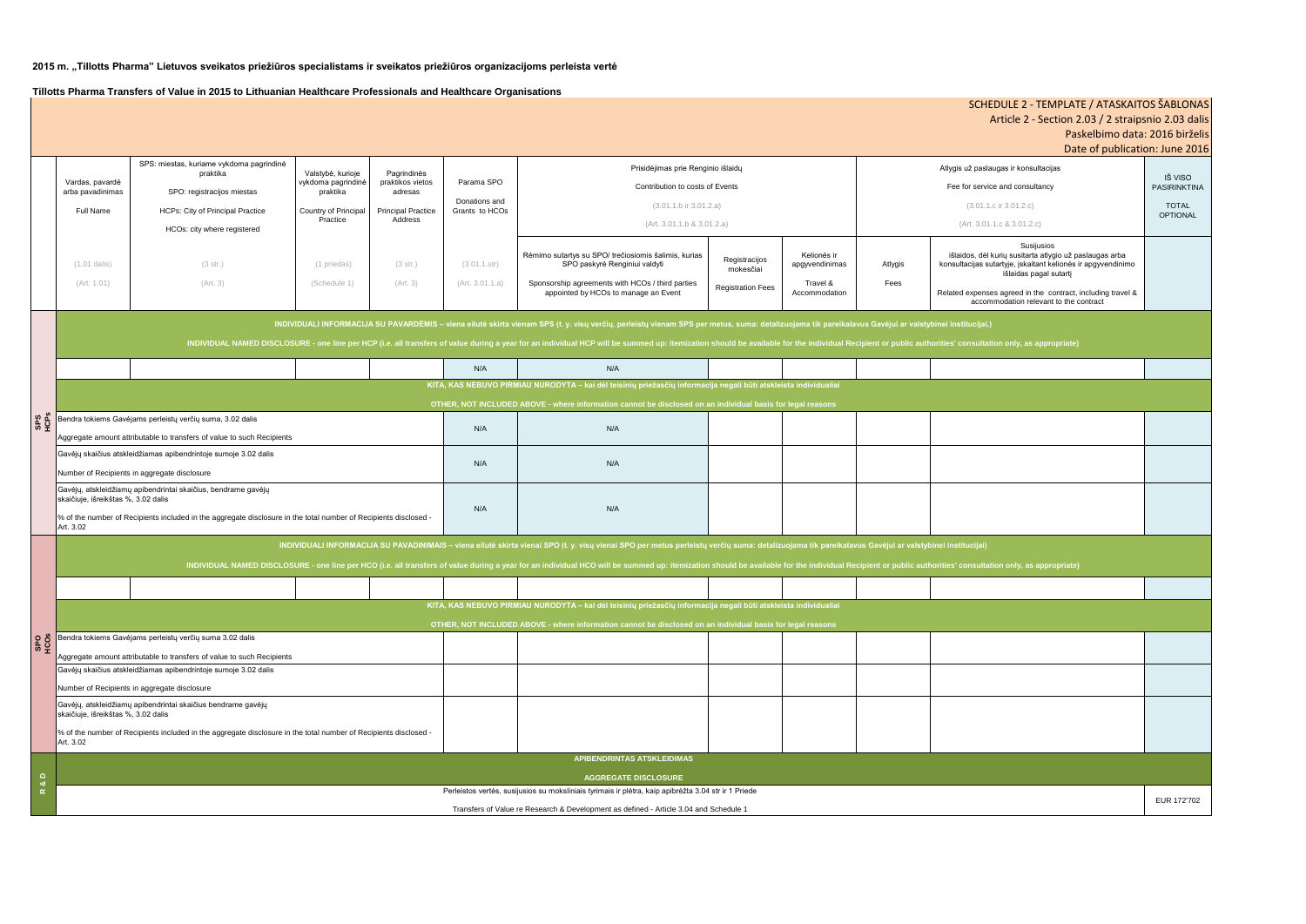## **2015 m. "Tillotts Pharma" Lietuvos sveikatos priežiūros specialistams ir sveikatos priežiūros organizacijoms perleista vertė**

**Tillotts Pharma Transfers of Value in 2015 to Lithuanian Healthcare Professionals and Healthcare Organisations**

|                           |                                                                                                                                                                                                                                |                                                                                                                  |                                                                                         |                                                                                    |                                               |                                                                                                                  |                            |                                          | Paskelbimo data: 2016 birželis                                                                                                                                  |                                |
|---------------------------|--------------------------------------------------------------------------------------------------------------------------------------------------------------------------------------------------------------------------------|------------------------------------------------------------------------------------------------------------------|-----------------------------------------------------------------------------------------|------------------------------------------------------------------------------------|-----------------------------------------------|------------------------------------------------------------------------------------------------------------------|----------------------------|------------------------------------------|-----------------------------------------------------------------------------------------------------------------------------------------------------------------|--------------------------------|
|                           |                                                                                                                                                                                                                                |                                                                                                                  |                                                                                         |                                                                                    |                                               |                                                                                                                  |                            |                                          | Date of publication: June 2016                                                                                                                                  |                                |
|                           | Vardas, pavardė<br>arba pavadinimas                                                                                                                                                                                            | SPS: miestas, kuriame vykdoma pagrindinė<br>praktika                                                             | Valstybė, kurioje<br>vykdoma pagrindinė<br>praktika<br>Country of Principal<br>Practice | Pagrindinės<br>praktikos vietos<br>adresas<br><b>Principal Practice</b><br>Address | Parama SPO<br>Donations and<br>Grants to HCOs | Prisidėjimas prie Renginio išlaidų<br>Contribution to costs of Events                                            |                            |                                          | Atlygis už paslaugas ir konsultacijas                                                                                                                           |                                |
|                           |                                                                                                                                                                                                                                | SPO: registracijos miestas                                                                                       |                                                                                         |                                                                                    |                                               |                                                                                                                  |                            |                                          | Fee for service and consultancy                                                                                                                                 | IŠ VISO<br><b>PASIRINKTINA</b> |
|                           | <b>Full Name</b>                                                                                                                                                                                                               | <b>HCPs: City of Principal Practice</b>                                                                          |                                                                                         |                                                                                    |                                               | $(3.01.1.b)$ ir $3.01.2.a)$                                                                                      |                            |                                          | $(3.01.1.c$ ir $3.01.2.c)$                                                                                                                                      | <b>TOTAL</b>                   |
|                           |                                                                                                                                                                                                                                |                                                                                                                  |                                                                                         |                                                                                    |                                               | (Art. 3.01.1.b & 3.01.2.a)                                                                                       |                            |                                          | (Art. 3.01.1.c & 3.01.2.c)                                                                                                                                      | <b>OPTIONAL</b>                |
|                           |                                                                                                                                                                                                                                | HCOs: city where registered                                                                                      |                                                                                         |                                                                                    |                                               |                                                                                                                  |                            |                                          |                                                                                                                                                                 |                                |
|                           | $(1.01$ dalis)                                                                                                                                                                                                                 | (3 str.)                                                                                                         | (1 priedas)                                                                             | (3 str.)                                                                           | (3.01.1.str)                                  | Rėmimo sutartys su SPO/ trečiosiomis šalimis, kurias<br>SPO paskyrė Renginiui valdyti                            | Registracijos<br>mokesčiai | Kelionės ir<br>Atlygis<br>apgyvendinimas | Susijusios<br>išlaidos, dėl kurių susitarta atlygio už paslaugas arba<br>konsultacijas sutartyje, įskaitant kelionės ir apgyvendinimo<br>išlaidas pagal sutarti |                                |
|                           | (Art. 1.01)                                                                                                                                                                                                                    | (Art. 3)                                                                                                         | (Schedule 1)                                                                            | (Art. 3)                                                                           | (Art. 3.01.1.a)                               | Sponsorship agreements with HCOs / third parties<br>appointed by HCOs to manage an Event                         | <b>Registration Fees</b>   | Fees<br>Travel &<br>Accommodation        | Related expenses agreed in the contract, including travel &                                                                                                     |                                |
|                           |                                                                                                                                                                                                                                |                                                                                                                  |                                                                                         |                                                                                    |                                               |                                                                                                                  |                            |                                          | accommodation relevant to the contract                                                                                                                          |                                |
|                           | INDIVIDUALI INFORMACIJA SU PAVARDĖMIS - viena eilutė skirta vienam SPS (t. y. visų verčių, perleistų vienam SPS per metus, suma: detalizuojama tik pareikalavus Gavėjui ar valstybinei institucijai,)                          |                                                                                                                  |                                                                                         |                                                                                    |                                               |                                                                                                                  |                            |                                          |                                                                                                                                                                 |                                |
|                           | INDIVIDUAL NAMED DISCLOSURE - one line per HCP (i.e. all transfers of value during a year for an individual HCP will be summed up: itemization should be available for the individual Recipient or public authorities' consult |                                                                                                                  |                                                                                         |                                                                                    |                                               |                                                                                                                  |                            |                                          |                                                                                                                                                                 |                                |
| SPS<br>HCPS               |                                                                                                                                                                                                                                |                                                                                                                  |                                                                                         |                                                                                    |                                               |                                                                                                                  |                            |                                          |                                                                                                                                                                 |                                |
|                           |                                                                                                                                                                                                                                |                                                                                                                  |                                                                                         |                                                                                    | N/A                                           | N/A                                                                                                              |                            |                                          |                                                                                                                                                                 |                                |
|                           | KITA, KAS NEBUVO PIRMIAU NURODYTA - kai dėl teisinių priežasčių informacija negali būti atskleista individualiai                                                                                                               |                                                                                                                  |                                                                                         |                                                                                    |                                               |                                                                                                                  |                            |                                          |                                                                                                                                                                 |                                |
|                           | OTHER, NOT INCLUDED ABOVE - where information cannot be disclosed on an individual basis for legal reasons                                                                                                                     |                                                                                                                  |                                                                                         |                                                                                    |                                               |                                                                                                                  |                            |                                          |                                                                                                                                                                 |                                |
|                           | Bendra tokiems Gavėjams perleistų verčių suma, 3.02 dalis                                                                                                                                                                      |                                                                                                                  |                                                                                         |                                                                                    | N/A                                           | N/A                                                                                                              |                            |                                          |                                                                                                                                                                 |                                |
|                           | Aggregate amount attributable to transfers of value to such Recipients                                                                                                                                                         |                                                                                                                  |                                                                                         |                                                                                    |                                               |                                                                                                                  |                            |                                          |                                                                                                                                                                 |                                |
|                           | Gavėjų skaičius atskleidžiamas apibendrintoje sumoje 3.02 dalis                                                                                                                                                                |                                                                                                                  |                                                                                         |                                                                                    | N/A                                           | N/A                                                                                                              |                            |                                          |                                                                                                                                                                 |                                |
|                           | Number of Recipients in aggregate disclosure                                                                                                                                                                                   |                                                                                                                  |                                                                                         |                                                                                    |                                               |                                                                                                                  |                            |                                          |                                                                                                                                                                 |                                |
|                           | Gavėjų, atskleidžiamų apibendrintai skaičius, bendrame gavėjų<br>skaičiuje, išreikštas %, 3.02 dalis                                                                                                                           |                                                                                                                  |                                                                                         |                                                                                    | N/A                                           | N/A                                                                                                              |                            |                                          |                                                                                                                                                                 |                                |
|                           | % of the number of Recipients included in the aggregate disclosure in the total number of Recipients disclosed -<br>Art. 3.02                                                                                                  |                                                                                                                  |                                                                                         |                                                                                    |                                               |                                                                                                                  |                            |                                          |                                                                                                                                                                 |                                |
|                           | INDIVIDUALI INFORMACIJA SU PAVADINIMAIS - viena eilutė skirta vienai SPO (t. y. visų vienai SPO per metus perleistų verčių suma: detalizuojama tik pareikalavus Gavėjui ar valstybinei institucijai)                           |                                                                                                                  |                                                                                         |                                                                                    |                                               |                                                                                                                  |                            |                                          |                                                                                                                                                                 |                                |
|                           | INDIVIDUAL NAMED DISCLOSURE - one line per HCO (i.e. all transfers of value during a year for an individual HCO will be summed up: itemization should be available for the individual Recipient or public authorities' consult |                                                                                                                  |                                                                                         |                                                                                    |                                               |                                                                                                                  |                            |                                          |                                                                                                                                                                 |                                |
|                           |                                                                                                                                                                                                                                |                                                                                                                  |                                                                                         |                                                                                    |                                               |                                                                                                                  |                            |                                          |                                                                                                                                                                 |                                |
|                           |                                                                                                                                                                                                                                |                                                                                                                  |                                                                                         |                                                                                    |                                               | KITA, KAS NEBUVO PIRMIAU NURODYTA - kai dėl teisinių priežasčių informacija negali būti atskleista individualiai |                            |                                          |                                                                                                                                                                 |                                |
|                           | OTHER, NOT INCLUDED ABOVE - where information cannot be disclosed on an individual basis for legal reasons                                                                                                                     |                                                                                                                  |                                                                                         |                                                                                    |                                               |                                                                                                                  |                            |                                          |                                                                                                                                                                 |                                |
| <b>SPO</b><br>HCOS        |                                                                                                                                                                                                                                | Bendra tokiems Gavėjams perleistų verčių suma 3.02 dalis                                                         |                                                                                         |                                                                                    |                                               |                                                                                                                  |                            |                                          |                                                                                                                                                                 |                                |
|                           |                                                                                                                                                                                                                                | Aggregate amount attributable to transfers of value to such Recipients                                           |                                                                                         |                                                                                    |                                               |                                                                                                                  |                            |                                          |                                                                                                                                                                 |                                |
|                           | Gavėjų skaičius atskleidžiamas apibendrintoje sumoje 3.02 dalis                                                                                                                                                                |                                                                                                                  |                                                                                         |                                                                                    |                                               |                                                                                                                  |                            |                                          |                                                                                                                                                                 |                                |
|                           | Number of Recipients in aggregate disclosure                                                                                                                                                                                   |                                                                                                                  |                                                                                         |                                                                                    |                                               |                                                                                                                  |                            |                                          |                                                                                                                                                                 |                                |
|                           | skaičiuje, išreikštas %, 3.02 dalis                                                                                                                                                                                            | Gavėjų, atskleidžiamų apibendrintai skaičius bendrame gavėjų                                                     |                                                                                         |                                                                                    |                                               |                                                                                                                  |                            |                                          |                                                                                                                                                                 |                                |
|                           | Art. 3.02                                                                                                                                                                                                                      | % of the number of Recipients included in the aggregate disclosure in the total number of Recipients disclosed - |                                                                                         |                                                                                    |                                               |                                                                                                                  |                            |                                          |                                                                                                                                                                 |                                |
| $\Box$<br>ಂಶ<br>$\propto$ | APIBENDRINTAS ATSKLEIDIMAS                                                                                                                                                                                                     |                                                                                                                  |                                                                                         |                                                                                    |                                               |                                                                                                                  |                            |                                          |                                                                                                                                                                 |                                |
|                           | <b>AGGREGATE DISCLOSURE</b>                                                                                                                                                                                                    |                                                                                                                  |                                                                                         |                                                                                    |                                               |                                                                                                                  |                            |                                          |                                                                                                                                                                 |                                |
|                           | Perleistos vertės, susijusios su moksliniais tyrimais ir plėtra, kaip apibrėžta 3.04 str ir 1 Priede<br>Transfers of Value re Research & Development as defined - Article 3.04 and Schedule 1                                  |                                                                                                                  |                                                                                         |                                                                                    |                                               |                                                                                                                  |                            |                                          |                                                                                                                                                                 | EUR 172'702                    |
|                           |                                                                                                                                                                                                                                |                                                                                                                  |                                                                                         |                                                                                    |                                               |                                                                                                                  |                            |                                          |                                                                                                                                                                 |                                |

# SCHEDULE 2 - TEMPLATE / ATASKAITOS ŠABLONAS Article 2 - Section 2.03 / 2 straipsnio 2.03 dalis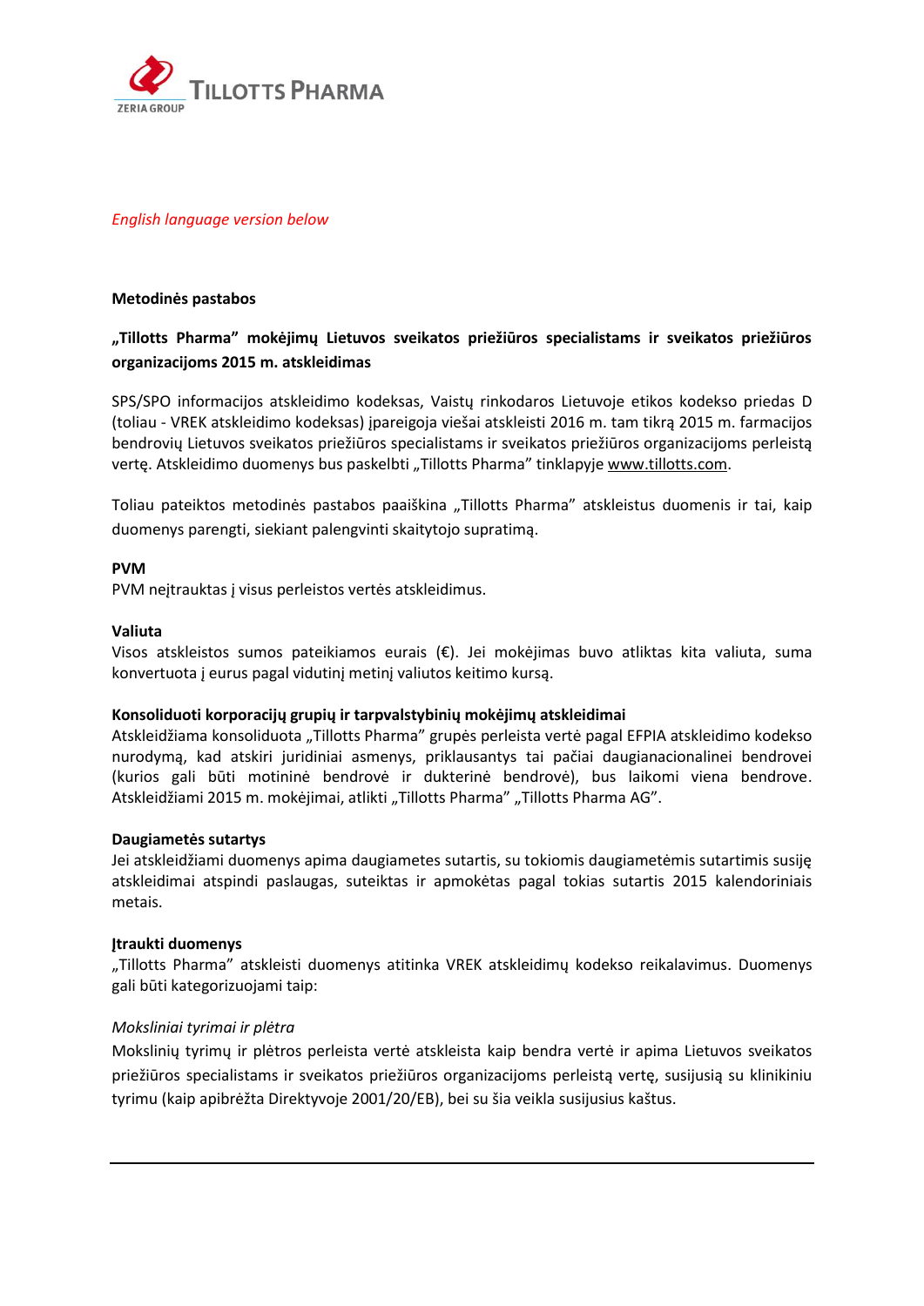

## *English language version below*

#### **Metodinės pastabos**

# **"Tillotts Pharma" mokėjimų Lietuvos sveikatos priežiūros specialistams ir sveikatos priežiūros organizacijoms 2015 m. atskleidimas**

SPS/SPO informacijos atskleidimo kodeksas, Vaistų rinkodaros Lietuvoje etikos kodekso priedas D (toliau - VREK atskleidimo kodeksas) įpareigoja viešai atskleisti 2016 m. tam tikrą 2015 m. farmacijos bendrovių Lietuvos sveikatos priežiūros specialistams ir sveikatos priežiūros organizacijoms perleistą vertę. Atskleidimo duomenys bus paskelbti "Tillotts Pharma" tinklapyje [www.tillotts.com.](http://www.tillotts.com/)

Toliau pateiktos metodinės pastabos paaiškina "Tillotts Pharma" atskleistus duomenis ir tai, kaip duomenys parengti, siekiant palengvinti skaitytojo supratimą.

#### **PVM**

PVM neįtrauktas į visus perleistos vertės atskleidimus.

#### **Valiuta**

Visos atskleistos sumos pateikiamos eurais (€). Jei mokėjimas buvo atliktas kita valiuta, suma konvertuota į eurus pagal vidutinį metinį valiutos keitimo kursą.

#### **Konsoliduoti korporacijų grupių ir tarpvalstybinių mokėjimų atskleidimai**

Atskleidžiama konsoliduota "Tillotts Pharma" grupės perleista vertė pagal EFPIA atskleidimo kodekso nurodymą, kad atskiri juridiniai asmenys, priklausantys tai pačiai daugianacionalinei bendrovei (kurios gali būti motininė bendrovė ir dukterinė bendrovė), bus laikomi viena bendrove. Atskleidžiami 2015 m. mokėjimai, atlikti "Tillotts Pharma" "Tillotts Pharma AG".

#### **Daugiametės sutartys**

Jei atskleidžiami duomenys apima daugiametes sutartis, su tokiomis daugiametėmis sutartimis susiję atskleidimai atspindi paslaugas, suteiktas ir apmokėtas pagal tokias sutartis 2015 kalendoriniais metais.

#### **Įtraukti duomenys**

"Tillotts Pharma" atskleisti duomenys atitinka VREK atskleidimų kodekso reikalavimus. Duomenys gali būti kategorizuojami taip:

## *Moksliniai tyrimai ir plėtra*

Mokslinių tyrimų ir plėtros perleista vertė atskleista kaip bendra vertė ir apima Lietuvos sveikatos priežiūros specialistams ir sveikatos priežiūros organizacijoms perleistą vertę, susijusią su klinikiniu tyrimu (kaip apibrėžta Direktyvoje 2001/20/EB), bei su šia veikla susijusius kaštus.